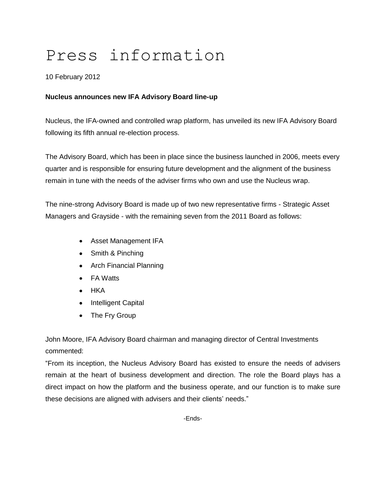# Press information

## 10 February 2012

## **Nucleus announces new IFA Advisory Board line-up**

Nucleus, the IFA-owned and controlled wrap platform, has unveiled its new IFA Advisory Board following its fifth annual re-election process.

The Advisory Board, which has been in place since the business launched in 2006, meets every quarter and is responsible for ensuring future development and the alignment of the business remain in tune with the needs of the adviser firms who own and use the Nucleus wrap.

The nine-strong Advisory Board is made up of two new representative firms - Strategic Asset Managers and Grayside - with the remaining seven from the 2011 Board as follows:

- Asset Management IFA
- Smith & Pinching
- Arch Financial Planning
- FA Watts
- HKA
- Intelligent Capital
- The Fry Group

John Moore, IFA Advisory Board chairman and managing director of Central Investments commented:

"From its inception, the Nucleus Advisory Board has existed to ensure the needs of advisers remain at the heart of business development and direction. The role the Board plays has a direct impact on how the platform and the business operate, and our function is to make sure these decisions are aligned with advisers and their clients' needs."

-Ends-